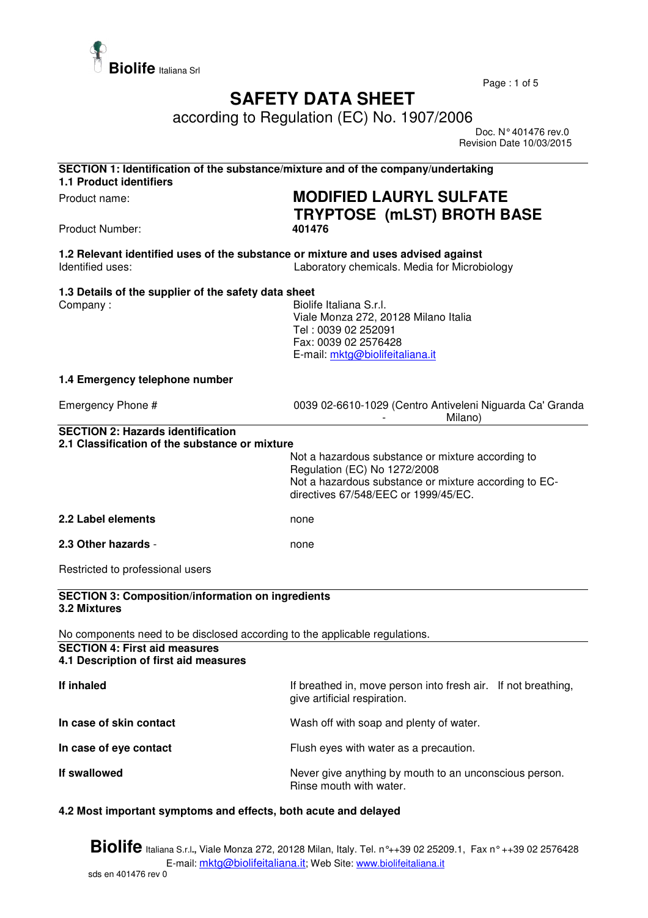

Page : 1 of 5

## **SAFETY DATA SHEET**

according to Regulation (EC) No. 1907/2006

 Doc. N° 401476 rev.0 Revision Date 10/03/2015

| SECTION 1: Identification of the substance/mixture and of the company/undertaking<br><b>1.1 Product identifiers</b> |                                                                                                                                                                                    |  |
|---------------------------------------------------------------------------------------------------------------------|------------------------------------------------------------------------------------------------------------------------------------------------------------------------------------|--|
| Product name:                                                                                                       | <b>MODIFIED LAURYL SULFATE</b><br><b>TRYPTOSE (mLST) BROTH BASE</b>                                                                                                                |  |
| <b>Product Number:</b>                                                                                              | 401476                                                                                                                                                                             |  |
| 1.2 Relevant identified uses of the substance or mixture and uses advised against<br>Identified uses:               | Laboratory chemicals. Media for Microbiology                                                                                                                                       |  |
| 1.3 Details of the supplier of the safety data sheet<br>Company:                                                    | Biolife Italiana S.r.l.<br>Viale Monza 272, 20128 Milano Italia<br>Tel: 0039 02 252091<br>Fax: 0039 02 2576428<br>E-mail: mktg@biolifeitaliana.it                                  |  |
| 1.4 Emergency telephone number                                                                                      |                                                                                                                                                                                    |  |
| Emergency Phone #                                                                                                   | 0039 02-6610-1029 (Centro Antiveleni Niguarda Ca' Granda<br>Milano)                                                                                                                |  |
| <b>SECTION 2: Hazards identification</b><br>2.1 Classification of the substance or mixture                          |                                                                                                                                                                                    |  |
|                                                                                                                     | Not a hazardous substance or mixture according to<br>Regulation (EC) No 1272/2008<br>Not a hazardous substance or mixture according to EC-<br>directives 67/548/EEC or 1999/45/EC. |  |
| 2.2 Label elements                                                                                                  | none                                                                                                                                                                               |  |
| 2.3 Other hazards -                                                                                                 | none                                                                                                                                                                               |  |
| Restricted to professional users                                                                                    |                                                                                                                                                                                    |  |
| <b>SECTION 3: Composition/information on ingredients</b><br>3.2 Mixtures                                            |                                                                                                                                                                                    |  |
| No components need to be disclosed according to the applicable regulations.                                         |                                                                                                                                                                                    |  |
| <b>SECTION 4: First aid measures</b><br>4.1 Description of first aid measures                                       |                                                                                                                                                                                    |  |
| If inhaled                                                                                                          | If breathed in, move person into fresh air. If not breathing,<br>give artificial respiration.                                                                                      |  |
| In case of skin contact                                                                                             | Wash off with soap and plenty of water.                                                                                                                                            |  |
| In case of eye contact                                                                                              | Flush eyes with water as a precaution.                                                                                                                                             |  |
| If swallowed                                                                                                        | Never give anything by mouth to an unconscious person.<br>Rinse mouth with water.                                                                                                  |  |

## **4.2 Most important symptoms and effects, both acute and delayed**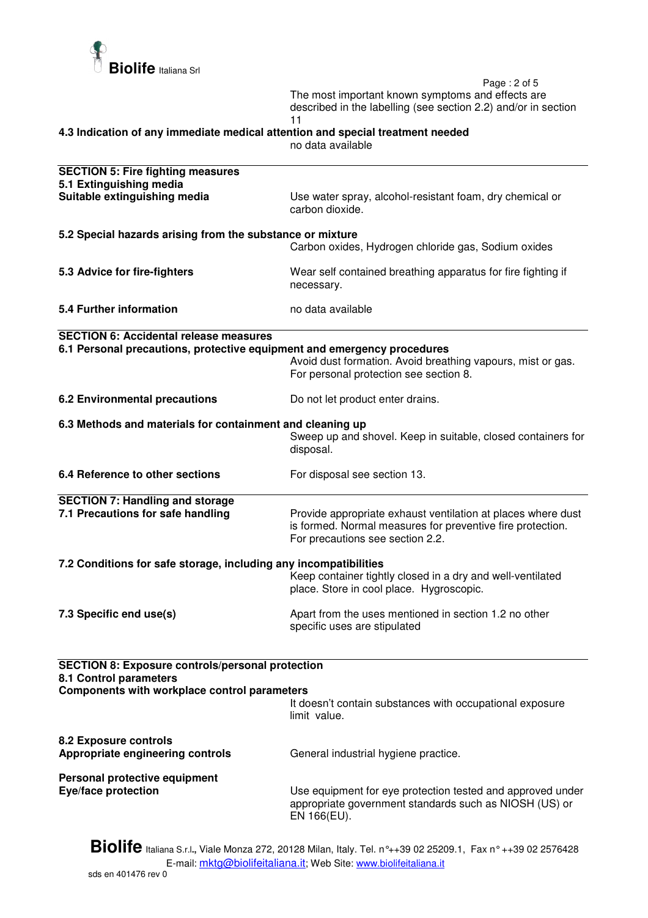

 Page : 2 of 5 The most important known symptoms and effects are described in the labelling (see section 2.2) and/or in section 11

**4.3 Indication of any immediate medical attention and special treatment needed** 

no data available

| <b>SECTION 5: Fire fighting measures</b><br>5.1 Extinguishing media                                                                      |                                                                                                                                                                |  |
|------------------------------------------------------------------------------------------------------------------------------------------|----------------------------------------------------------------------------------------------------------------------------------------------------------------|--|
| Suitable extinguishing media                                                                                                             | Use water spray, alcohol-resistant foam, dry chemical or<br>carbon dioxide.                                                                                    |  |
| 5.2 Special hazards arising from the substance or mixture                                                                                |                                                                                                                                                                |  |
|                                                                                                                                          | Carbon oxides, Hydrogen chloride gas, Sodium oxides                                                                                                            |  |
| 5.3 Advice for fire-fighters                                                                                                             | Wear self contained breathing apparatus for fire fighting if<br>necessary.                                                                                     |  |
| 5.4 Further information                                                                                                                  | no data available                                                                                                                                              |  |
| <b>SECTION 6: Accidental release measures</b>                                                                                            |                                                                                                                                                                |  |
| 6.1 Personal precautions, protective equipment and emergency procedures                                                                  | Avoid dust formation. Avoid breathing vapours, mist or gas.<br>For personal protection see section 8.                                                          |  |
| <b>6.2 Environmental precautions</b>                                                                                                     | Do not let product enter drains.                                                                                                                               |  |
| 6.3 Methods and materials for containment and cleaning up                                                                                |                                                                                                                                                                |  |
|                                                                                                                                          | Sweep up and shovel. Keep in suitable, closed containers for<br>disposal.                                                                                      |  |
| 6.4 Reference to other sections                                                                                                          | For disposal see section 13.                                                                                                                                   |  |
| <b>SECTION 7: Handling and storage</b>                                                                                                   |                                                                                                                                                                |  |
| 7.1 Precautions for safe handling                                                                                                        | Provide appropriate exhaust ventilation at places where dust<br>is formed. Normal measures for preventive fire protection.<br>For precautions see section 2.2. |  |
| 7.2 Conditions for safe storage, including any incompatibilities                                                                         |                                                                                                                                                                |  |
|                                                                                                                                          | Keep container tightly closed in a dry and well-ventilated<br>place. Store in cool place. Hygroscopic.                                                         |  |
| 7.3 Specific end use(s)                                                                                                                  | Apart from the uses mentioned in section 1.2 no other<br>specific uses are stipulated                                                                          |  |
|                                                                                                                                          |                                                                                                                                                                |  |
| <b>SECTION 8: Exposure controls/personal protection</b><br>8.1 Control parameters<br><b>Components with workplace control parameters</b> |                                                                                                                                                                |  |
|                                                                                                                                          | It doesn't contain substances with occupational exposure<br>limit value.                                                                                       |  |
| <b>8.2 Exposure controls</b><br>Appropriate engineering controls                                                                         | General industrial hygiene practice.                                                                                                                           |  |
| Personal protective equipment                                                                                                            |                                                                                                                                                                |  |
| Eye/face protection                                                                                                                      | Use equipment for eye protection tested and approved under<br>appropriate government standards such as NIOSH (US) or<br>EN 166(EU).                            |  |
|                                                                                                                                          |                                                                                                                                                                |  |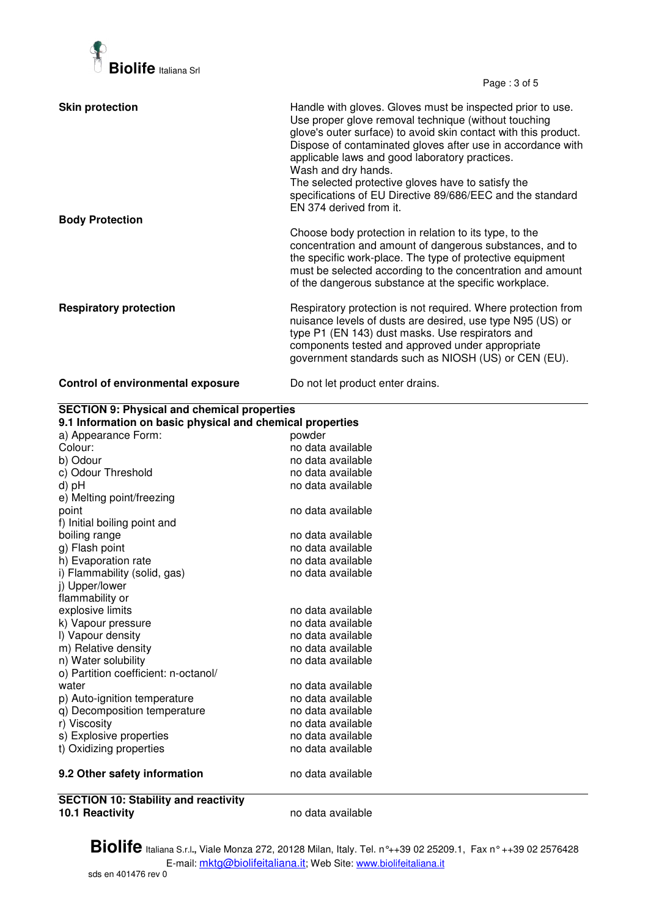

Page : 3 of 5

| <b>Skin protection</b>                   | Handle with gloves. Gloves must be inspected prior to use.<br>Use proper glove removal technique (without touching<br>glove's outer surface) to avoid skin contact with this product.<br>Dispose of contaminated gloves after use in accordance with<br>applicable laws and good laboratory practices.<br>Wash and dry hands.<br>The selected protective gloves have to satisfy the<br>specifications of EU Directive 89/686/EEC and the standard<br>EN 374 derived from it. |
|------------------------------------------|------------------------------------------------------------------------------------------------------------------------------------------------------------------------------------------------------------------------------------------------------------------------------------------------------------------------------------------------------------------------------------------------------------------------------------------------------------------------------|
| <b>Body Protection</b>                   | Choose body protection in relation to its type, to the<br>concentration and amount of dangerous substances, and to<br>the specific work-place. The type of protective equipment<br>must be selected according to the concentration and amount<br>of the dangerous substance at the specific workplace.                                                                                                                                                                       |
| <b>Respiratory protection</b>            | Respiratory protection is not required. Where protection from<br>nuisance levels of dusts are desired, use type N95 (US) or<br>type P1 (EN 143) dust masks. Use respirators and<br>components tested and approved under appropriate<br>government standards such as NIOSH (US) or CEN (EU).                                                                                                                                                                                  |
| <b>Control of environmental exposure</b> | Do not let product enter drains.                                                                                                                                                                                                                                                                                                                                                                                                                                             |

| <b>SECTION 9: Physical and chemical properties</b><br>9.1 Information on basic physical and chemical properties |                   |  |
|-----------------------------------------------------------------------------------------------------------------|-------------------|--|
| a) Appearance Form:                                                                                             | powder            |  |
| Colour:                                                                                                         | no data available |  |
| b) Odour                                                                                                        | no data available |  |
| c) Odour Threshold                                                                                              | no data available |  |
| d) pH                                                                                                           | no data available |  |
| e) Melting point/freezing                                                                                       |                   |  |
| point                                                                                                           | no data available |  |
| f) Initial boiling point and                                                                                    |                   |  |
| boiling range                                                                                                   | no data available |  |
| g) Flash point                                                                                                  | no data available |  |
| h) Evaporation rate                                                                                             | no data available |  |
| i) Flammability (solid, gas)                                                                                    | no data available |  |
| j) Upper/lower                                                                                                  |                   |  |
| flammability or                                                                                                 |                   |  |
| explosive limits                                                                                                | no data available |  |
| k) Vapour pressure                                                                                              | no data available |  |
| I) Vapour density                                                                                               | no data available |  |
| m) Relative density                                                                                             | no data available |  |
| n) Water solubility                                                                                             | no data available |  |
| o) Partition coefficient: n-octanol/                                                                            |                   |  |
| water                                                                                                           | no data available |  |
| p) Auto-ignition temperature                                                                                    | no data available |  |
| q) Decomposition temperature                                                                                    | no data available |  |
| r) Viscosity                                                                                                    | no data available |  |
| s) Explosive properties                                                                                         | no data available |  |
| t) Oxidizing properties                                                                                         | no data available |  |
| 9.2 Other safety information                                                                                    | no data available |  |
| <b>OF OTION 40 OLL ULL</b><br>and the state.                                                                    |                   |  |

**SECTION 10: Stability and reactivity** 

**10.1 Reactivity** no data available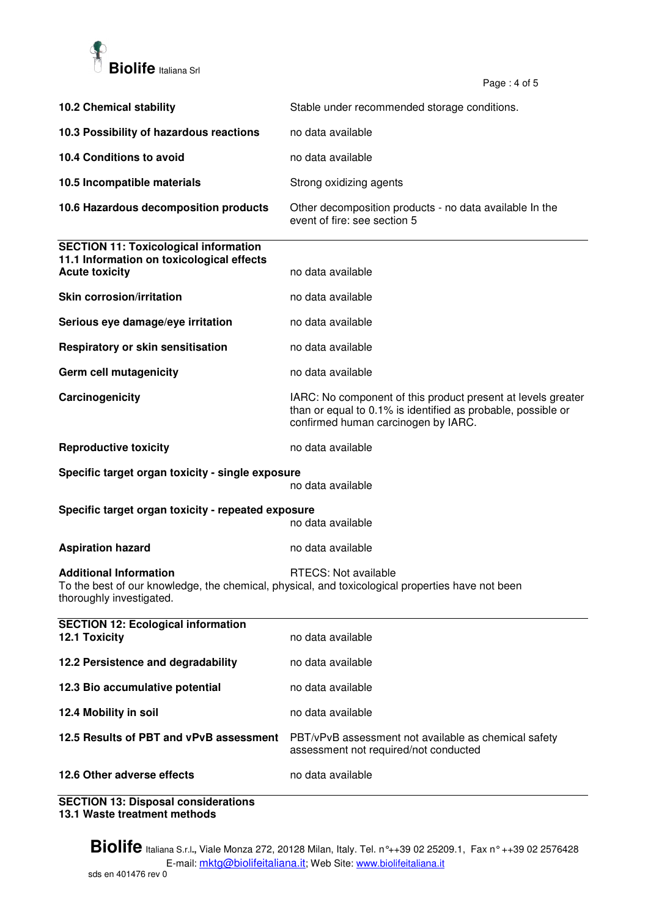

Page  $: 4$  of 5

|                                                                                                                    | ι α <u>υ</u> σ. <del>τ</del> υι υ                                                                                                                                   |  |
|--------------------------------------------------------------------------------------------------------------------|---------------------------------------------------------------------------------------------------------------------------------------------------------------------|--|
| <b>10.2 Chemical stability</b>                                                                                     | Stable under recommended storage conditions.                                                                                                                        |  |
| 10.3 Possibility of hazardous reactions                                                                            | no data available                                                                                                                                                   |  |
| 10.4 Conditions to avoid                                                                                           | no data available                                                                                                                                                   |  |
| 10.5 Incompatible materials                                                                                        | Strong oxidizing agents                                                                                                                                             |  |
| 10.6 Hazardous decomposition products                                                                              | Other decomposition products - no data available In the<br>event of fire: see section 5                                                                             |  |
| <b>SECTION 11: Toxicological information</b><br>11.1 Information on toxicological effects<br><b>Acute toxicity</b> | no data available                                                                                                                                                   |  |
| <b>Skin corrosion/irritation</b>                                                                                   | no data available                                                                                                                                                   |  |
| Serious eye damage/eye irritation                                                                                  | no data available                                                                                                                                                   |  |
| Respiratory or skin sensitisation                                                                                  | no data available                                                                                                                                                   |  |
| Germ cell mutagenicity                                                                                             | no data available                                                                                                                                                   |  |
| Carcinogenicity                                                                                                    | IARC: No component of this product present at levels greater<br>than or equal to 0.1% is identified as probable, possible or<br>confirmed human carcinogen by IARC. |  |
| <b>Reproductive toxicity</b>                                                                                       | no data available                                                                                                                                                   |  |
| Specific target organ toxicity - single exposure<br>no data available                                              |                                                                                                                                                                     |  |
| Specific target organ toxicity - repeated exposure<br>no data available                                            |                                                                                                                                                                     |  |
| <b>Aspiration hazard</b>                                                                                           | no data available                                                                                                                                                   |  |
| <b>Additional Information</b><br>thoroughly investigated.                                                          | RTECS: Not available<br>To the best of our knowledge, the chemical, physical, and toxicological properties have not been                                            |  |
| <b>SECTION 12: Ecological information</b><br>12.1 Toxicity                                                         | no data available                                                                                                                                                   |  |
| 12.2 Persistence and degradability                                                                                 | no data available                                                                                                                                                   |  |
| 12.3 Bio accumulative potential                                                                                    | no data available                                                                                                                                                   |  |
| 12.4 Mobility in soil                                                                                              | no data available                                                                                                                                                   |  |
| 12.5 Results of PBT and vPvB assessment                                                                            | PBT/vPvB assessment not available as chemical safety<br>assessment not required/not conducted                                                                       |  |
| 12.6 Other adverse effects                                                                                         | no data available                                                                                                                                                   |  |

**SECTION 13: Disposal considerations 13.1 Waste treatment methods**